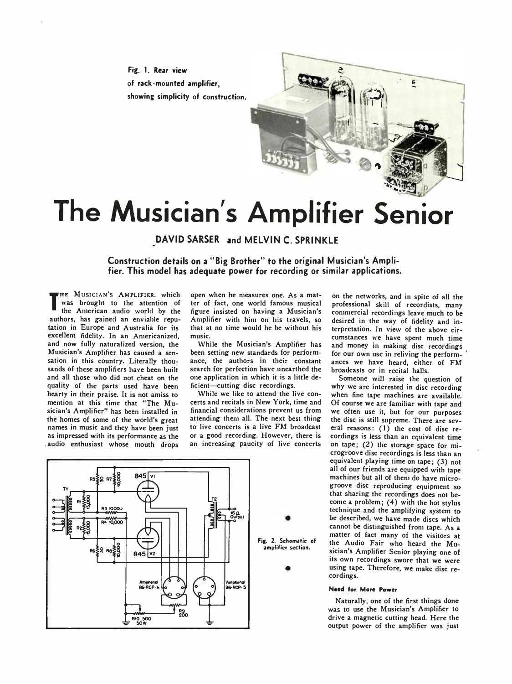Fig. 1. Rear view of rack-mounted amplifier, showing simplicity of construction.



# **The Musician's Amplifier Senior**

**DAVID SARSER and MELVIN C. SPRINKLE** 

**Construction details on a "Big Brother" to the original Musician's Amplifier. This model has adequate power for recording or similar applications.**

**The American audio world by the** HE MUSICIAN'S AMPLIFIER, which was brought to the attention of authors, has gained an enviable reputation in Europe and Australia for its excellent fidelity. In an Americanized, and now fully naturalized version, the Musician's Amplifier has caused a sensation in this country. Literally thousands of these amplifiers have been built and all those who did not cheat on the quality of the parts used have been hearty in their praise. It is not amiss to mention at this time that "The Musician's Amplifier" has been installed in the homes of some of the world's great names in music and they have been just as impressed with its performance as the , audio enthusiast whose mouth drops

open when he measures one. As a matter of fact, one world famous musical figure insisted on having a Musician's Amplifier with him on his travels, so that at no time would he be without his music.

While the Musician's Amplifier has been setting new standards for performance, the authors in their constant search for perfection have unearthed the one application in which it is a little deficient—cutting disc recordings.

While we like to attend the live concerts and recitals in New York, time and financial considerations prevent us from attending them all. The next best thing to live concerts is a live FM broadcast or a good recording. However, there is an increasing paucity of live concerts on the networks, and in spite of all the professional skill of recordists, many commercial recordings leave much to be desired in the way of fidelity and interpretation. In view of the above circumstances we have spent much time and money in making disc recordings for our own use in reliving the performances we have heard, either of FM broadcasts or in recital halls.

Someone will raise the question of why we are interested in disc recording when fine tape machines are available. Of course we are familiar with tape and we often use it, but for our purposes the disc is still supreme. There are several reasons: (1) the cost of disc recordings is less than an equivalent time on tape; (2) the storage space for microgroove disc recordings is less than an equivalent playing time on tape; (3) not all of our friends are equipped with tape machines but all of them do have microgroove disc reproducing equipment so that sharing the recordings does not become a problem; (4) with the hot stylus technique and the amplifying system to be described, we have made discs which cannot be distinguished from tape. As a matter of fact many of the visitors at the Audio Fair who heard the Musician's Amplifier Senior playing one of its own recordings swore that we were using tape. Therefore, we make disc recordings.

## **Need for More Power**

Naturally, one of the first things done was to use the Musician's Amplifier to drive a magnetic cutting head. Here the output power of the amplifier was just

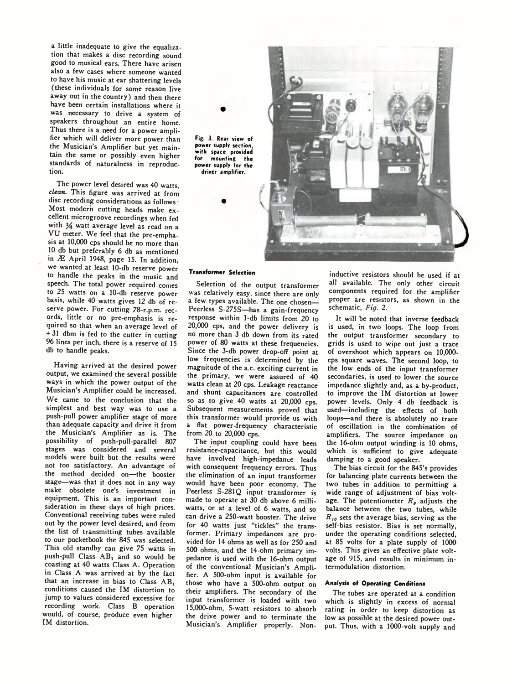a little inadequate to give the equalization that makes a disc recording sound good to musical ears. There have arisen also a few cases where someone wanted to have his music at ear shattering levels (these individuals for some reason live away out in the country) and then there have been certain installations where it was necessary to drive a system of speakers throughout an entire home. Thus there is a need for a power amplifier which will deliver more power than the Musician's Amplifier but yet maintain the same or possibly even higher standards of naturalness in reproduction.

The power level desired was 40 watts, *clean.* This figure was arrived at from disc recording considerations as follows: Most modern cutting heads make excellent microgroove recordings when fed with  $\frac{1}{4}$  watt average level as read on a VU meter. We feel that the pre-emphasis at 10,000 cps should be no more than 10 db but preferably 6 db as mentioned in Æ April 1948, page 15. In addition, we wanted at least 10-db reserve power to handle the peaks in the music and speech. The total power required comes to 25 watts on a 10-db reserve power basis, while 40 watts gives 12 db of reserve power. For cutting 78-r.p.m. records, little or no pre-emphasis is required so that when an average level of + 31 dbm is fed to the cutter in cutting 96 lines per inch, there is a reserve of IS db to handle peaks.

Having arrived at the desired power output, we examined the several possible ways in which the power output of the Musician's Amplifier could be increased. We came to the conclusion that the simplest and best way was to use a push-pull power amplifier stage of more than adequate capacity and drive it from the Musician's Amplifier as is. The possibility of push-pull-parallel 807 stages was considered and several models were built but the results were not too satisfactory. An advantage of the method decided on—the booster stage—was that it does not in any way make obsolete one's investment in equipment. This is an important consideration in these days of high prices. Conventional receiving tubes were ruled out by the power level desired, and from the list of transmitting tubes available to our pocketbook the 845 was selected. This old standby can give 75 watts in push-pull Class  $AB_1$  and so would be coasting at 40 watts Class A. Operation in Class A was arrived at by the fact that an increase in bias to Class AB, conditions caused the IM distortion to jump to values considered excessive for recording work. Class B operation would, of course, produce even higher IM distortion.

Fig. 3. Rear view *of* power supply section, with space provided for mounting the power supply for the driver amplifier.

# **Transformer Selection**

Selection of the output transformer was relatively easy, since there are only a few types available. The one chosen— Peerless S-275S—has a gain-frequency response within 1-db limits from 20 to 20,000 cps, and the power delivery is no more than 3 db down from its rated power of 80 watts at these frequencies. Since the 3-db power drop-off point at low frequencies is determined by the magnitude of the a.c. exciting current in the primary, we were assured of 40 watts clean at 20 cps. Leakage reactance and shunt capacitances are controlled so as to give 40 watts at 20,000 cps. Subsequent measurements proved that this transformer would provide us with a flat power-frequency characteristic from 20 to 20,000 cps.

The input coupling could have been resistance-capacitance, but this would have involved high-impedance leads with consequent frequency errors. Thus the elimination of an input transformer would have been poor economy. The Peerless S-281Q input transformer is made to operate at 30 db above 6 milliwatts, or at a level of 6 watts, and so can drive a 250-watt booster. The drive for 40 watts just "tickles" the transformer. Primary impedances are provided for 14 ohms as well as for 250 and 500 ohms, and the 14-ohm primary impedance is used with the 16-ohm output of the conventional Musician's Amplifier. A 500-ohm input is available for those who have a 500-ohm output on their amplifiers. The secondary of the input transformer is loaded with two 15,000-ohm, 5-watt resistors to absorb the drive power and to terminate the Musician's Amplifier properly. Non-

inductive resistors should be used if at all available. The only other circuit components required for the amplifier proper are resistors, as shown in the schematic, *Fig. 2.*

It will be noted that inverse feedback is used, in two loops. The loop from the output transformer secondary to grids is used to wipe out just a trace of overshoot which appears on 10,000 cps square waves. The second loop, to the low ends of the input transformer secondaries, is used to lower the source impedance slightly and, as a by-product, to improve the IM distortion at lower power levels. Only 4 db feedback is used—including the effects of both loops—and there is absolutely no trace of oscillation in the combination of amplifiers. The source impedance on the 16-ohm output winding is 10 ohms, which is sufficient to give adequate damping to a good speaker.

The bias circuit for the 845's provides for balancing plate currents between the two tubes in addition to permitting a wide range of adjustment of bias voltage. The potentiometer  $R_{\theta}$  adjusts the balance between the two tubes, while *R ,0* sets the average bias, serving as the self-bias resistor. Bias is set normally, under the operating conditions selected, at 85 volts for a plate supply of 1000 volts. This gives an effective plate voltage of 915, and results in minimum intermodulation distortion.

#### **Analysis of Operating Conditions**

The tubes are operated at a condition which is slightly in excess of normal rating in order to keep distortion as low as possible at the desired power output. Thus, with a 1000-volt supply and